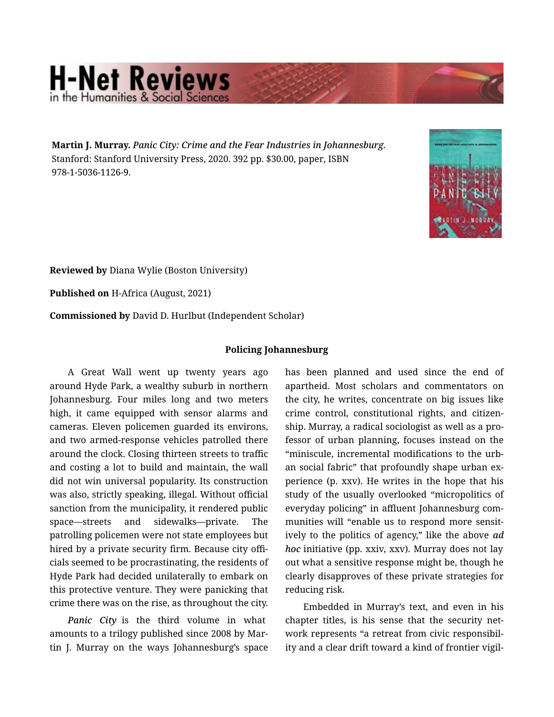## **H-Net Reviews** in the Humanities & Social Scie

Martin J. Murray. *Panic City: Crime and the Fear Industries in Johannesburg.*  Stanford: Stanford University Press, 2020. 392 pp. \$30.00, paper, ISBN 978-1-5036-1126-9.



Reviewed by Diana Wylie (Boston University)

Published on H-Africa (August, 2021)

Commissioned by David D. Hurlbut (Independent Scholar)

## Policing Johannesburg

A Great Wall went up twenty years ago around Hyde Park, a wealthy suburb in northern Johannesburg. Four miles long and two meters high, it came equipped with sensor alarms and cameras. Eleven policemen guarded its environs, and two armed-response vehicles patrolled there around the clock. Closing thirteen streets to traffic and costing a lot to build and maintain, the wall did not win universal popularity. Its construction was also, strictly speaking, illegal. Without official sanction from the municipality, it rendered public space—streets and sidewalks—private. The patrolling policemen were not state employees but hired by a private security firm. Because city offi‐ cials seemed to be procrastinating, the residents of Hyde Park had decided unilaterally to embark on this protective venture. They were panicking that crime there was on the rise, as throughout the city.

*Panic City* is the third volume in what amounts to a trilogy published since 2008 by Mar‐ tin J. Murray on the ways Johannesburg's space has been planned and used since the end of apartheid. Most scholars and commentators on the city, he writes, concentrate on big issues like crime control, constitutional rights, and citizen‐ ship. Murray, a radical sociologist as well as a pro‐ fessor of urban planning, focuses instead on the "miniscule, incremental modifications to the urb‐ an social fabric" that profoundly shape urban ex‐ perience (p. xxv). He writes in the hope that his study of the usually overlooked "micropolitics of everyday policing" in affluent Johannesburg com‐ munities will "enable us to respond more sensit‐ ively to the politics of agency," like the above *ad hoc* initiative (pp. xxiv, xxv). Murray does not lay out what a sensitive response might be, though he clearly disapproves of these private strategies for reducing risk.

Embedded in Murray's text, and even in his chapter titles, is his sense that the security net‐ work represents "a retreat from civic responsibil‐ ity and a clear drift toward a kind of frontier vigil‐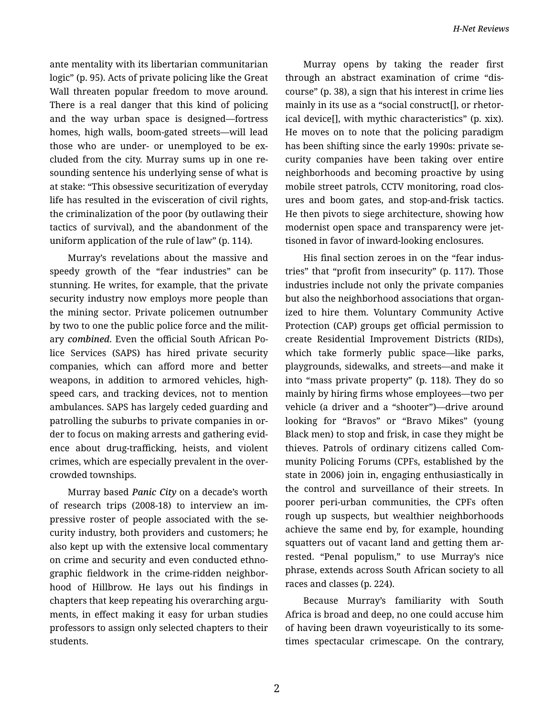ante mentality with its libertarian communitarian logic" (p. 95). Acts of private policing like the Great Wall threaten popular freedom to move around. There is a real danger that this kind of policing and the way urban space is designed—fortress homes, high walls, boom-gated streets—will lead those who are under- or unemployed to be ex‐ cluded from the city. Murray sums up in one re‐ sounding sentence his underlying sense of what is at stake: "This obsessive securitization of everyday life has resulted in the evisceration of civil rights, the criminalization of the poor (by outlawing their tactics of survival), and the abandonment of the uniform application of the rule of law" (p. 114).

Murray's revelations about the massive and speedy growth of the "fear industries" can be stunning. He writes, for example, that the private security industry now employs more people than the mining sector. Private policemen outnumber by two to one the public police force and the milit‐ ary *combined*. Even the official South African Po‐ lice Services (SAPS) has hired private security companies, which can afford more and better weapons, in addition to armored vehicles, highspeed cars, and tracking devices, not to mention ambulances. SAPS has largely ceded guarding and patrolling the suburbs to private companies in or‐ der to focus on making arrests and gathering evid‐ ence about drug-trafficking, heists, and violent crimes, which are especially prevalent in the over‐ crowded townships.

Murray based *Panic City* on a decade's worth of research trips (2008-18) to interview an im‐ pressive roster of people associated with the security industry, both providers and customers; he also kept up with the extensive local commentary on crime and security and even conducted ethno‐ graphic fieldwork in the crime-ridden neighbor‐ hood of Hillbrow. He lays out his findings in chapters that keep repeating his overarching argu‐ ments, in effect making it easy for urban studies professors to assign only selected chapters to their students.

Murray opens by taking the reader first through an abstract examination of crime "dis‐ course" (p. 38), a sign that his interest in crime lies mainly in its use as a "social construct[], or rhetor‐ ical device[], with mythic characteristics" (p. xix). He moves on to note that the policing paradigm has been shifting since the early 1990s: private se‐ curity companies have been taking over entire neighborhoods and becoming proactive by using mobile street patrols, CCTV monitoring, road clos‐ ures and boom gates, and stop-and-frisk tactics. He then pivots to siege architecture, showing how modernist open space and transparency were jet‐ tisoned in favor of inward-looking enclosures.

His final section zeroes in on the "fear indus‐ tries" that "profit from insecurity" (p. 117). Those industries include not only the private companies but also the neighborhood associations that organ‐ ized to hire them. Voluntary Community Active Protection (CAP) groups get official permission to create Residential Improvement Districts (RIDs), which take formerly public space—like parks, playgrounds, sidewalks, and streets—and make it into "mass private property" (p. 118). They do so mainly by hiring firms whose employees—two per vehicle (a driver and a "shooter")—drive around looking for "Bravos" or "Bravo Mikes" (young Black men) to stop and frisk, in case they might be thieves. Patrols of ordinary citizens called Com‐ munity Policing Forums (CPFs, established by the state in 2006) join in, engaging enthusiastically in the control and surveillance of their streets. In poorer peri-urban communities, the CPFs often rough up suspects, but wealthier neighborhoods achieve the same end by, for example, hounding squatters out of vacant land and getting them ar‐ rested. "Penal populism," to use Murray's nice phrase, extends across South African society to all races and classes (p. 224).

Because Murray's familiarity with South Africa is broad and deep, no one could accuse him of having been drawn voyeuristically to its some‐ times spectacular crimescape. On the contrary,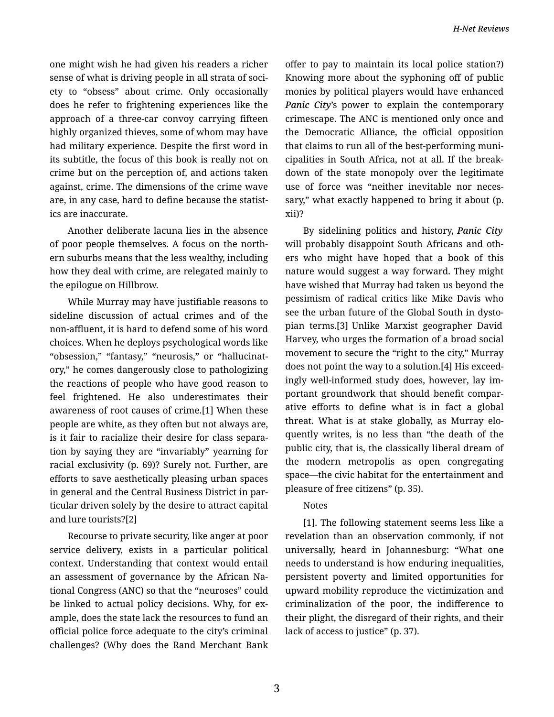one might wish he had given his readers a richer sense of what is driving people in all strata of soci‐ ety to "obsess" about crime. Only occasionally does he refer to frightening experiences like the approach of a three-car convoy carrying fifteen highly organized thieves, some of whom may have had military experience. Despite the first word in its subtitle, the focus of this book is really not on crime but on the perception of, and actions taken against, crime. The dimensions of the crime wave are, in any case, hard to define because the statist‐ ics are inaccurate.

Another deliberate lacuna lies in the absence of poor people themselves. A focus on the north‐ ern suburbs means that the less wealthy, including how they deal with crime, are relegated mainly to the epilogue on Hillbrow.

While Murray may have justifiable reasons to sideline discussion of actual crimes and of the non-affluent, it is hard to defend some of his word choices. When he deploys psychological words like "obsession," "fantasy," "neurosis," or "hallucinat‐ ory," he comes dangerously close to pathologizing the reactions of people who have good reason to feel frightened. He also underestimates their awareness of root causes of crime.[1] When these people are white, as they often but not always are, is it fair to racialize their desire for class separa‐ tion by saying they are "invariably" yearning for racial exclusivity (p. 69)? Surely not. Further, are efforts to save aesthetically pleasing urban spaces in general and the Central Business District in par‐ ticular driven solely by the desire to attract capital and lure tourists?[2]

Recourse to private security, like anger at poor service delivery, exists in a particular political context. Understanding that context would entail an assessment of governance by the African Na‐ tional Congress (ANC) so that the "neuroses" could be linked to actual policy decisions. Why, for ex‐ ample, does the state lack the resources to fund an official police force adequate to the city's criminal challenges? (Why does the Rand Merchant Bank offer to pay to maintain its local police station?) Knowing more about the syphoning off of public monies by political players would have enhanced *Panic City*'s power to explain the contemporary crimescape. The ANC is mentioned only once and the Democratic Alliance, the official opposition that claims to run all of the best-performing muni‐ cipalities in South Africa, not at all. If the break‐ down of the state monopoly over the legitimate use of force was "neither inevitable nor neces‐ sary," what exactly happened to bring it about (p. xii)?

By sidelining politics and history, *Panic City* will probably disappoint South Africans and oth‐ ers who might have hoped that a book of this nature would suggest a way forward. They might have wished that Murray had taken us beyond the pessimism of radical critics like Mike Davis who see the urban future of the Global South in dysto‐ pian terms.[3] Unlike Marxist geographer David Harvey, who urges the formation of a broad social movement to secure the "right to the city," Murray does not point the way to a solution.[4] His exceed‐ ingly well-informed study does, however, lay im‐ portant groundwork that should benefit compar‐ ative efforts to define what is in fact a global threat. What is at stake globally, as Murray elo‐ quently writes, is no less than "the death of the public city, that is, the classically liberal dream of the modern metropolis as open congregating space—the civic habitat for the entertainment and pleasure of free citizens" (p. 35).

## Notes

[1]. The following statement seems less like a revelation than an observation commonly, if not universally, heard in Johannesburg: "What one needs to understand is how enduring inequalities, persistent poverty and limited opportunities for upward mobility reproduce the victimization and criminalization of the poor, the indifference to their plight, the disregard of their rights, and their lack of access to justice" (p. 37).